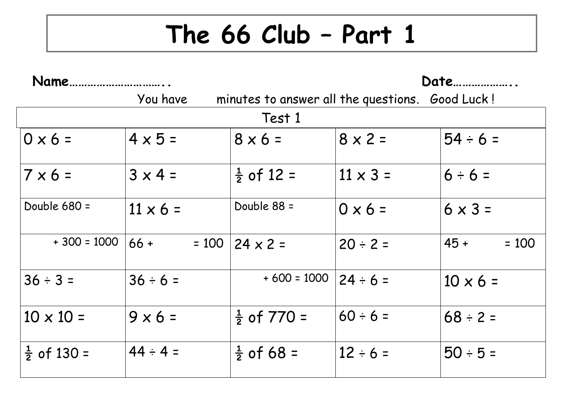## **The 66 Club – Part 1**

| Name.                  |                                                             |                        | Date            |                   |  |  |
|------------------------|-------------------------------------------------------------|------------------------|-----------------|-------------------|--|--|
|                        | You have<br>minutes to answer all the questions. Good Luck! |                        |                 |                   |  |  |
| Test 1                 |                                                             |                        |                 |                   |  |  |
| $0 \times 6 =$         | $4 \times 5 =$                                              | $8 \times 6 =$         | $8 \times 2 =$  | $54 \div 6 =$     |  |  |
| $7 \times 6 =$         | $3 \times 4 =$                                              | $\frac{1}{2}$ of 12 =  | $11 \times 3 =$ | $6 ÷ 6 =$         |  |  |
| Double $680 =$         | $11 \times 6 =$                                             | Double 88 =            | $0 \times 6 =$  | $6 \times 3 =$    |  |  |
| $+300 = 1000$          | $66 +$<br>$= 100$                                           | $ 24 \times 2 =$       | $20 \div 2 =$   | $45 +$<br>$= 100$ |  |  |
| $36 \div 3 =$          | $36 \div 6 =$                                               | $+600 = 1000$          | $24 \div 6 =$   | $10 \times 6 =$   |  |  |
| $10 \times 10 =$       | $9 \times 6 =$                                              | $\frac{1}{2}$ of 770 = | $60 \div 6 =$   | $68 \div 2 =$     |  |  |
| $\frac{1}{2}$ of 130 = | $44 \div 4 =$                                               | $\frac{1}{2}$ of 68 =  | $12 \div 6 =$   | $50 ÷ 5 =$        |  |  |